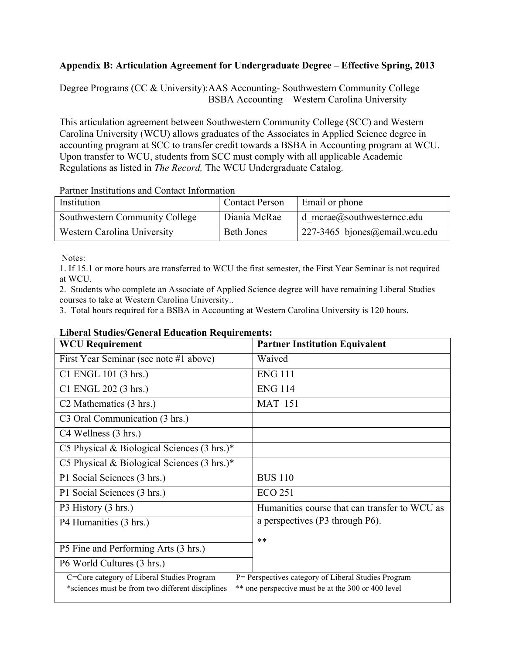## **Appendix B: Articulation Agreement for Undergraduate Degree – Effective Spring, 2013**

Degree Programs (CC & University):AAS Accounting- Southwestern Community College BSBA Accounting – Western Carolina University

This articulation agreement between Southwestern Community College (SCC) and Western Carolina University (WCU) allows graduates of the Associates in Applied Science degree in accounting program at SCC to transfer credit towards a BSBA in Accounting program at WCU. Upon transfer to WCU, students from SCC must comply with all applicable Academic Regulations as listed in *The Record,* The WCU Undergraduate Catalog.

Partner Institutions and Contact Information

| Institution                    | <b>Contact Person</b> | Email or phone                     |
|--------------------------------|-----------------------|------------------------------------|
| Southwestern Community College | Diania McRae          | $\vert$ d mcrae@southwesterncc.edu |
| Western Carolina University    | <b>Beth Jones</b>     | $227-3465$ bjones@email.wcu.edu    |

Notes:

1. If 15.1 or more hours are transferred to WCU the first semester, the First Year Seminar is not required at WCU.

2. Students who complete an Associate of Applied Science degree will have remaining Liberal Studies courses to take at Western Carolina University..

3. Total hours required for a BSBA in Accounting at Western Carolina University is 120 hours.

## **Liberal Studies/General Education Requirements:**

| <b>WCU Requirement</b>                                                                                                                                                                                      | <b>Partner Institution Equivalent</b>         |  |
|-------------------------------------------------------------------------------------------------------------------------------------------------------------------------------------------------------------|-----------------------------------------------|--|
| First Year Seminar (see note #1 above)                                                                                                                                                                      | Waived                                        |  |
| C1 ENGL 101 (3 hrs.)                                                                                                                                                                                        | <b>ENG 111</b>                                |  |
| C1 ENGL 202 (3 hrs.)                                                                                                                                                                                        | <b>ENG 114</b>                                |  |
| C <sub>2</sub> Mathematics (3 hrs.)                                                                                                                                                                         | <b>MAT 151</b>                                |  |
| C <sub>3</sub> Oral Communication (3 hrs.)                                                                                                                                                                  |                                               |  |
| C4 Wellness (3 hrs.)                                                                                                                                                                                        |                                               |  |
| C5 Physical & Biological Sciences $(3 \text{ hrs.})^*$                                                                                                                                                      |                                               |  |
| C5 Physical & Biological Sciences $(3 \text{ hrs.})^*$                                                                                                                                                      |                                               |  |
| P1 Social Sciences (3 hrs.)                                                                                                                                                                                 | <b>BUS 110</b>                                |  |
| P1 Social Sciences (3 hrs.)                                                                                                                                                                                 | <b>ECO 251</b>                                |  |
| P3 History (3 hrs.)                                                                                                                                                                                         | Humanities course that can transfer to WCU as |  |
| P4 Humanities (3 hrs.)                                                                                                                                                                                      | a perspectives (P3 through P6).               |  |
|                                                                                                                                                                                                             | $**$                                          |  |
| P5 Fine and Performing Arts (3 hrs.)                                                                                                                                                                        |                                               |  |
| P6 World Cultures (3 hrs.)                                                                                                                                                                                  |                                               |  |
| C=Core category of Liberal Studies Program<br>P= Perspectives category of Liberal Studies Program<br>** one perspective must be at the 300 or 400 level<br>*sciences must be from two different disciplines |                                               |  |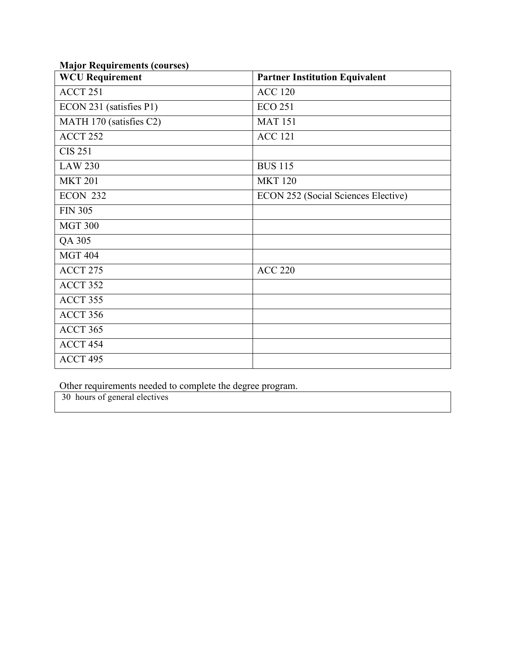| <b>WCU Requirement</b>  | <b>Partner Institution Equivalent</b>      |  |
|-------------------------|--------------------------------------------|--|
| ACCT 251                | <b>ACC 120</b>                             |  |
| ECON 231 (satisfies P1) | <b>ECO 251</b>                             |  |
| MATH 170 (satisfies C2) | <b>MAT 151</b>                             |  |
| ACCT 252                | <b>ACC 121</b>                             |  |
| <b>CIS 251</b>          |                                            |  |
| <b>LAW 230</b>          | <b>BUS 115</b>                             |  |
| <b>MKT 201</b>          | <b>MKT 120</b>                             |  |
| <b>ECON 232</b>         | <b>ECON 252 (Social Sciences Elective)</b> |  |
| <b>FIN 305</b>          |                                            |  |
| <b>MGT 300</b>          |                                            |  |
| QA 305                  |                                            |  |
| <b>MGT 404</b>          |                                            |  |
| ACCT 275                | <b>ACC 220</b>                             |  |
| ACCT 352                |                                            |  |
| ACCT 355                |                                            |  |
| ACCT 356                |                                            |  |
| ACCT 365                |                                            |  |
| ACCT 454                |                                            |  |
| ACCT 495                |                                            |  |

## **Major Requirements (courses)**

Other requirements needed to complete the degree program.

30 hours of general electives